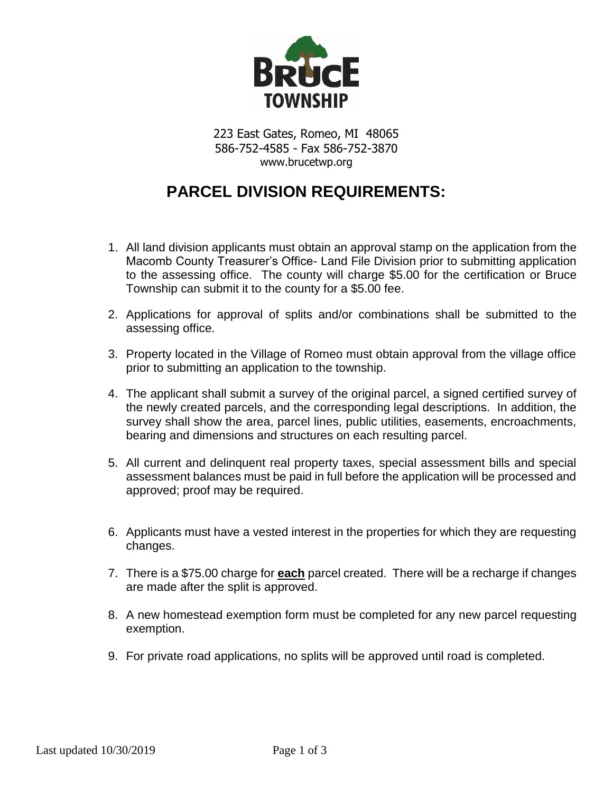

223 East Gates, Romeo, MI 48065 586-752-4585 - Fax 586-752-3870 www.brucetwp.org

## **PARCEL DIVISION REQUIREMENTS:**

- 1. All land division applicants must obtain an approval stamp on the application from the Macomb County Treasurer's Office- Land File Division prior to submitting application to the assessing office. The county will charge \$5.00 for the certification or Bruce Township can submit it to the county for a \$5.00 fee.
- 2. Applications for approval of splits and/or combinations shall be submitted to the assessing office.
- 3. Property located in the Village of Romeo must obtain approval from the village office prior to submitting an application to the township.
- 4. The applicant shall submit a survey of the original parcel, a signed certified survey of the newly created parcels, and the corresponding legal descriptions. In addition, the survey shall show the area, parcel lines, public utilities, easements, encroachments, bearing and dimensions and structures on each resulting parcel.
- 5. All current and delinquent real property taxes, special assessment bills and special assessment balances must be paid in full before the application will be processed and approved; proof may be required.
- 6. Applicants must have a vested interest in the properties for which they are requesting changes.
- 7. There is a \$75.00 charge for **each** parcel created. There will be a recharge if changes are made after the split is approved.
- 8. A new homestead exemption form must be completed for any new parcel requesting exemption.
- 9. For private road applications, no splits will be approved until road is completed.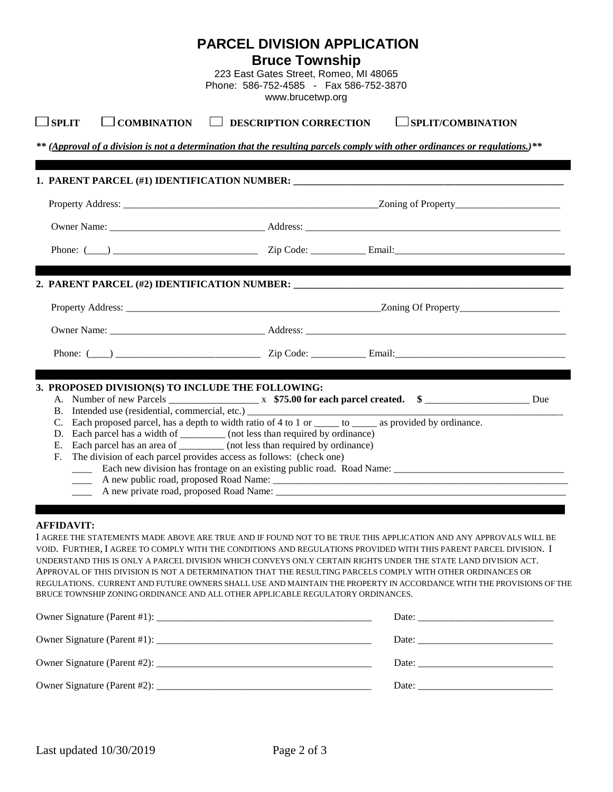|                                                                                                   | <b>PARCEL DIVISION APPLICATION</b><br><b>Bruce Township</b><br>223 East Gates Street, Romeo, MI 48065<br>Phone: 586-752-4585 - Fax 586-752-3870<br>www.brucetwp.org                                                                                                                                                                                                                                                                                                                                                                                        |                                                                                                                     |
|---------------------------------------------------------------------------------------------------|------------------------------------------------------------------------------------------------------------------------------------------------------------------------------------------------------------------------------------------------------------------------------------------------------------------------------------------------------------------------------------------------------------------------------------------------------------------------------------------------------------------------------------------------------------|---------------------------------------------------------------------------------------------------------------------|
| $\Box$ SPLIT<br>$\Box$ COMBINATION                                                                | $\Box$ DESCRIPTION CORRECTION                                                                                                                                                                                                                                                                                                                                                                                                                                                                                                                              | SPLIT/COMBINATION                                                                                                   |
|                                                                                                   | ** (Approval of a division is not a determination that the resulting parcels comply with other ordinances or regulations.)**                                                                                                                                                                                                                                                                                                                                                                                                                               |                                                                                                                     |
|                                                                                                   |                                                                                                                                                                                                                                                                                                                                                                                                                                                                                                                                                            |                                                                                                                     |
|                                                                                                   |                                                                                                                                                                                                                                                                                                                                                                                                                                                                                                                                                            |                                                                                                                     |
|                                                                                                   |                                                                                                                                                                                                                                                                                                                                                                                                                                                                                                                                                            |                                                                                                                     |
|                                                                                                   |                                                                                                                                                                                                                                                                                                                                                                                                                                                                                                                                                            |                                                                                                                     |
|                                                                                                   |                                                                                                                                                                                                                                                                                                                                                                                                                                                                                                                                                            |                                                                                                                     |
|                                                                                                   |                                                                                                                                                                                                                                                                                                                                                                                                                                                                                                                                                            |                                                                                                                     |
|                                                                                                   |                                                                                                                                                                                                                                                                                                                                                                                                                                                                                                                                                            |                                                                                                                     |
|                                                                                                   |                                                                                                                                                                                                                                                                                                                                                                                                                                                                                                                                                            |                                                                                                                     |
| 3. PROPOSED DIVISION(S) TO INCLUDE THE FOLLOWING:<br>F.<br>A new public road, proposed Road Name: | B. Intended use (residential, commercial, etc.) ________________________________<br>C. Each proposed parcel, has a depth to width ratio of 4 to 1 or _____ to _____ as provided by ordinance.<br>D. Each parcel has a width of __________ (not less than required by ordinance)<br>E. Each parcel has an area of __________ (not less than required by ordinance)<br>The division of each parcel provides access as follows: (check one)<br>Each new division has frontage on an existing public road. Road Name:                                          |                                                                                                                     |
| <b>AFFIDAVIT:</b>                                                                                 | I AGREE THE STATEMENTS MADE ABOVE ARE TRUE AND IF FOUND NOT TO BE TRUE THIS APPLICATION AND ANY APPROVALS WILL BE<br>VOID. FURTHER, I AGREE TO COMPLY WITH THE CONDITIONS AND REGULATIONS PROVIDED WITH THIS PARENT PARCEL DIVISION. I<br>UNDERSTAND THIS IS ONLY A PARCEL DIVISION WHICH CONVEYS ONLY CERTAIN RIGHTS UNDER THE STATE LAND DIVISION ACT.<br>APPROVAL OF THIS DIVISION IS NOT A DETERMINATION THAT THE RESULTING PARCELS COMPLY WITH OTHER ORDINANCES OR<br>BRUCE TOWNSHIP ZONING ORDINANCE AND ALL OTHER APPLICABLE REGULATORY ORDINANCES. | REGULATIONS. CURRENT AND FUTURE OWNERS SHALL USE AND MAINTAIN THE PROPERTY IN ACCORDANCE WITH THE PROVISIONS OF THE |
|                                                                                                   |                                                                                                                                                                                                                                                                                                                                                                                                                                                                                                                                                            |                                                                                                                     |
|                                                                                                   |                                                                                                                                                                                                                                                                                                                                                                                                                                                                                                                                                            |                                                                                                                     |
|                                                                                                   |                                                                                                                                                                                                                                                                                                                                                                                                                                                                                                                                                            |                                                                                                                     |
|                                                                                                   |                                                                                                                                                                                                                                                                                                                                                                                                                                                                                                                                                            |                                                                                                                     |